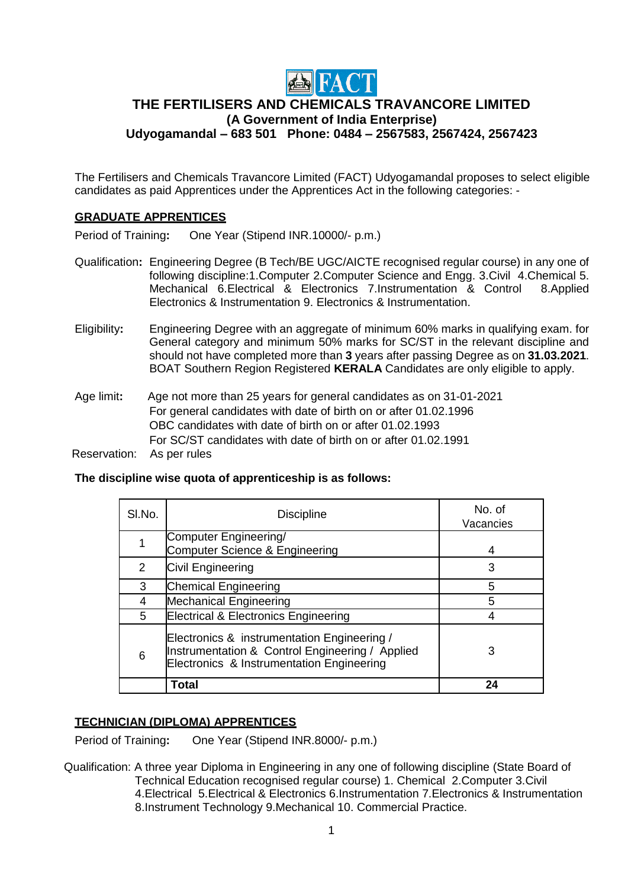

# **THE FERTILISERS AND CHEMICALS TRAVANCORE LIMITED (A Government of India Enterprise) Udyogamandal – 683 501 Phone: 0484 – 2567583, 2567424, 2567423**

The Fertilisers and Chemicals Travancore Limited (FACT) Udyogamandal proposes to select eligible candidates as paid Apprentices under the Apprentices Act in the following categories: -

## **GRADUATE APPRENTICES**

Period of Training**:** One Year (Stipend INR.10000/- p.m.)

- Qualification**:** Engineering Degree (B Tech/BE UGC/AICTE recognised regular course) in any one of following discipline:1.Computer 2.Computer Science and Engg. 3.Civil 4.Chemical 5. Mechanical 6.Electrical & Electronics 7.Instrumentation & Control Electronics & Instrumentation 9. Electronics & Instrumentation.
- Eligibility**:** Engineering Degree with an aggregate of minimum 60% marks in qualifying exam. for General category and minimum 50% marks for SC/ST in the relevant discipline and should not have completed more than **3** years after passing Degree as on **31.03.2021**. BOAT Southern Region Registered **KERALA** Candidates are only eligible to apply.

Age limit**:** Age not more than 25 years for general candidates as on 31-01-2021 For general candidates with date of birth on or after 01.02.1996 OBC candidates with date of birth on or after 01.02.1993 For SC/ST candidates with date of birth on or after 01.02.1991

Reservation: As per rules

### **The discipline wise quota of apprenticeship is as follows:**

| SI.No. | <b>Discipline</b>                                                                                                                           | No. of<br>Vacancies |
|--------|---------------------------------------------------------------------------------------------------------------------------------------------|---------------------|
|        | Computer Engineering/<br>Computer Science & Engineering                                                                                     | 4                   |
| 2      | Civil Engineering                                                                                                                           | 3                   |
| 3      | <b>Chemical Engineering</b>                                                                                                                 | 5                   |
| 4      | <b>Mechanical Engineering</b>                                                                                                               | 5                   |
| 5      | <b>Electrical &amp; Electronics Engineering</b>                                                                                             |                     |
| 6      | Electronics & instrumentation Engineering /<br>Instrumentation & Control Engineering / Applied<br>Electronics & Instrumentation Engineering |                     |
|        | Total                                                                                                                                       | 24                  |

## **TECHNICIAN (DIPLOMA) APPRENTICES**

Period of Training**:** One Year (Stipend INR.8000/- p.m.)

 Qualification: A three year Diploma in Engineering in any one of following discipline (State Board of Technical Education recognised regular course) 1. Chemical 2.Computer 3.Civil 4.Electrical 5.Electrical & Electronics 6.Instrumentation 7.Electronics & Instrumentation 8.Instrument Technology 9.Mechanical 10. Commercial Practice.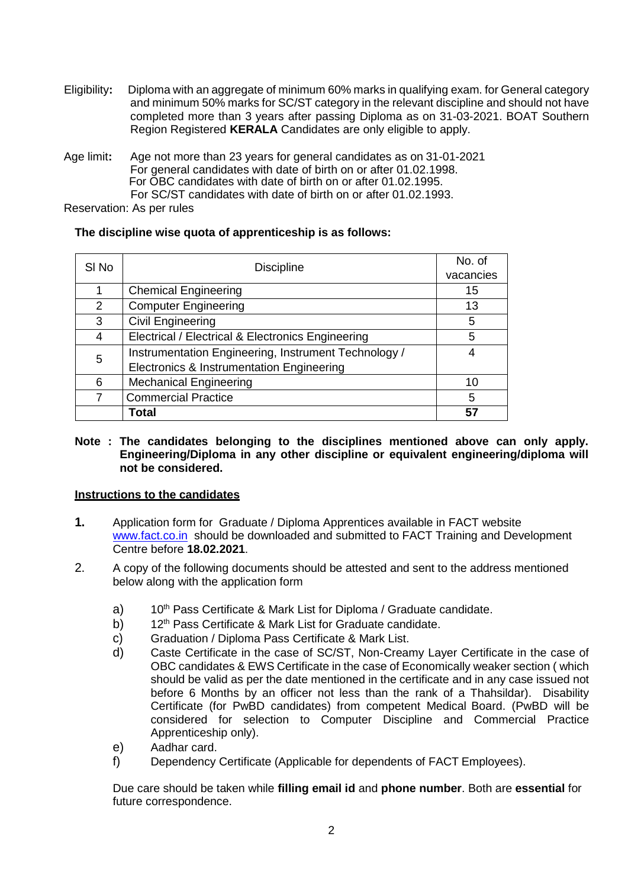- Eligibility**:** Diploma with an aggregate of minimum 60% marks in qualifying exam. for General category and minimum 50% marks for SC/ST category in the relevant discipline and should not have completed more than 3 years after passing Diploma as on 31-03-2021. BOAT Southern Region Registered **KERALA** Candidates are only eligible to apply.
- Age limit**:** Age not more than 23 years for general candidates as on 31-01-2021 For general candidates with date of birth on or after 01.02.1998. For OBC candidates with date of birth on or after 01.02.1995. For SC/ST candidates with date of birth on or after 01.02.1993.

Reservation: As per rules

## **The discipline wise quota of apprenticeship is as follows:**

| SI <sub>No</sub> | <b>Discipline</b>                                    | No. of<br>vacancies |
|------------------|------------------------------------------------------|---------------------|
|                  | <b>Chemical Engineering</b>                          | 15                  |
| 2                | <b>Computer Engineering</b>                          | 13                  |
|                  |                                                      |                     |
| 3                | <b>Civil Engineering</b>                             | 5                   |
| 4                | Electrical / Electrical & Electronics Engineering    | 5                   |
| 5                | Instrumentation Engineering, Instrument Technology / | 4                   |
|                  | Electronics & Instrumentation Engineering            |                     |
| 6                | <b>Mechanical Engineering</b>                        | 10                  |
|                  | <b>Commercial Practice</b>                           | 5                   |
|                  | Total                                                | 57                  |

**Note : The candidates belonging to the disciplines mentioned above can only apply. Engineering/Diploma in any other discipline or equivalent engineering/diploma will not be considered.**

## **Instructions to the candidates**

- **1.** Application form for Graduate / Diploma Apprentices available in FACT website [www.fact.co.in](http://www.fact.co.in/) should be downloaded and submitted to FACT Training and Development Centre before **18.02.2021**.
- 2. A copy of the following documents should be attested and sent to the address mentioned below along with the application form
	- a) 10<sup>th</sup> Pass Certificate & Mark List for Diploma / Graduate candidate.
	- b) 12<sup>th</sup> Pass Certificate & Mark List for Graduate candidate.
	- c) Graduation / Diploma Pass Certificate & Mark List.
	- d) Caste Certificate in the case of SC/ST, Non-Creamy Layer Certificate in the case of OBC candidates & EWS Certificate in the case of Economically weaker section ( which should be valid as per the date mentioned in the certificate and in any case issued not before 6 Months by an officer not less than the rank of a Thahsildar). Disability Certificate (for PwBD candidates) from competent Medical Board. (PwBD will be considered for selection to Computer Discipline and Commercial Practice Apprenticeship only).
	- e) Aadhar card.
	- f) Dependency Certificate (Applicable for dependents of FACT Employees).

Due care should be taken while **filling email id** and **phone number**. Both are **essential** for future correspondence.